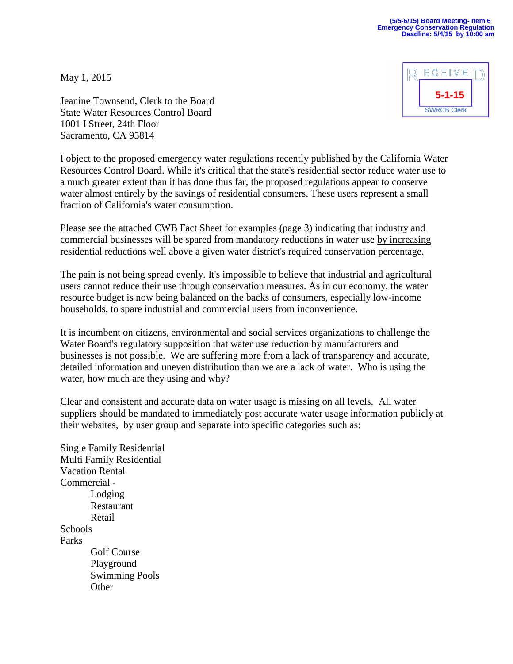May 1, 2015



Jeanine Townsend, Clerk to the Board State Water Resources Control Board 1001 I Street, 24th Floor Sacramento, CA 95814

I object to the proposed emergency water regulations recently published by the California Water Resources Control Board. While it's critical that the state's residential sector reduce water use to a much greater extent than it has done thus far, the proposed regulations appear to conserve water almost entirely by the savings of residential consumers. These users represent a small fraction of California's water consumption.

Please see the attached CWB Fact Sheet for examples (page 3) indicating that industry and commercial businesses will be spared from mandatory reductions in water use by increasing residential reductions well above a given water district's required conservation percentage.

The pain is not being spread evenly. It's impossible to believe that industrial and agricultural users cannot reduce their use through conservation measures. As in our economy, the water resource budget is now being balanced on the backs of consumers, especially low-income households, to spare industrial and commercial users from inconvenience.

It is incumbent on citizens, environmental and social services organizations to challenge the Water Board's regulatory supposition that water use reduction by manufacturers and businesses is not possible. We are suffering more from a lack of transparency and accurate, detailed information and uneven distribution than we are a lack of water. Who is using the water, how much are they using and why?

Clear and consistent and accurate data on water usage is missing on all levels. All water suppliers should be mandated to immediately post accurate water usage information publicly at their websites, by user group and separate into specific categories such as:

Single Family Residential Multi Family Residential Vacation Rental Commercial - Lodging Restaurant Retail **Schools** Parks Golf Course Playground Swimming Pools **Other**